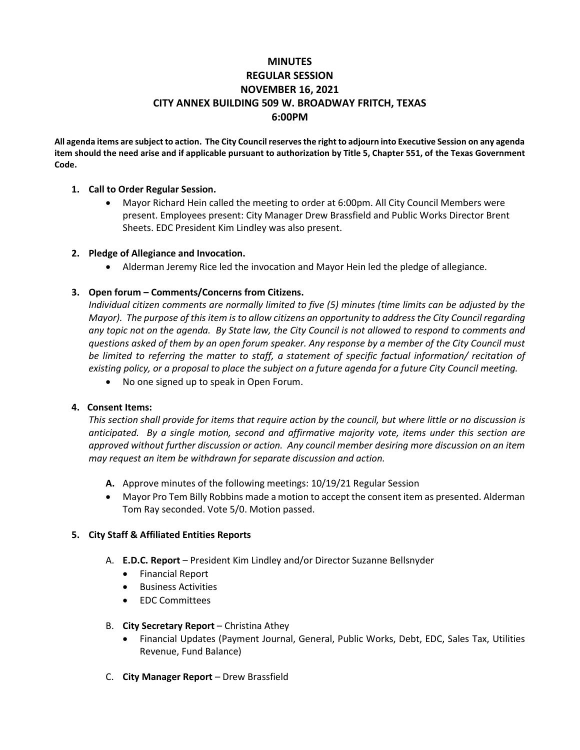# **MINUTES REGULAR SESSION NOVEMBER 16, 2021 CITY ANNEX BUILDING 509 W. BROADWAY FRITCH, TEXAS 6:00PM**

**All agenda items are subject to action. The City Council reserves the right to adjourn into Executive Session on any agenda item should the need arise and if applicable pursuant to authorization by Title 5, Chapter 551, of the Texas Government Code.**

## **1. Call to Order Regular Session.**

• Mayor Richard Hein called the meeting to order at 6:00pm. All City Council Members were present. Employees present: City Manager Drew Brassfield and Public Works Director Brent Sheets. EDC President Kim Lindley was also present.

## **2. Pledge of Allegiance and Invocation.**

• Alderman Jeremy Rice led the invocation and Mayor Hein led the pledge of allegiance.

## **3. Open forum – Comments/Concerns from Citizens.**

*Individual citizen comments are normally limited to five (5) minutes (time limits can be adjusted by the Mayor). The purpose of this item is to allow citizens an opportunity to address the City Council regarding any topic not on the agenda. By State law, the City Council is not allowed to respond to comments and questions asked of them by an open forum speaker. Any response by a member of the City Council must be limited to referring the matter to staff, a statement of specific factual information/ recitation of existing policy, or a proposal to place the subject on a future agenda for a future City Council meeting.*

• No one signed up to speak in Open Forum.

#### **4. Consent Items:**

*This section shall provide for items that require action by the council, but where little or no discussion is anticipated. By a single motion, second and affirmative majority vote, items under this section are approved without further discussion or action. Any council member desiring more discussion on an item may request an item be withdrawn for separate discussion and action.*

- **A.** Approve minutes of the following meetings: 10/19/21 Regular Session
- Mayor Pro Tem Billy Robbins made a motion to accept the consent item as presented. Alderman Tom Ray seconded. Vote 5/0. Motion passed.

#### **5. City Staff & Affiliated Entities Reports**

- A. **E.D.C. Report** President Kim Lindley and/or Director Suzanne Bellsnyder
	- Financial Report
	- Business Activities
	- EDC Committees

#### B. **City Secretary Report** – Christina Athey

- Financial Updates (Payment Journal, General, Public Works, Debt, EDC, Sales Tax, Utilities Revenue, Fund Balance)
- C. **City Manager Report** Drew Brassfield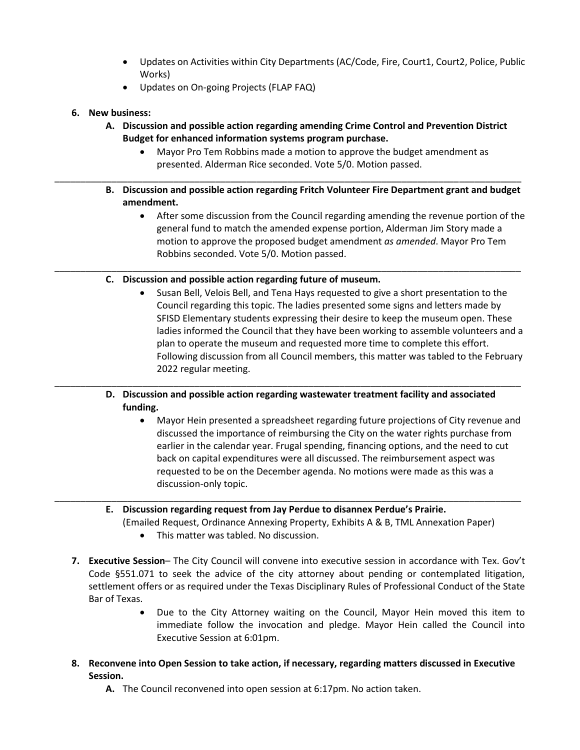- Updates on Activities within City Departments (AC/Code, Fire, Court1, Court2, Police, Public Works)
- Updates on On-going Projects (FLAP FAQ)

## **6. New business:**

**A. Discussion and possible action regarding amending Crime Control and Prevention District Budget for enhanced information systems program purchase.**

\_\_\_\_\_\_\_\_\_\_\_\_\_\_\_\_\_\_\_\_\_\_\_\_\_\_\_\_\_\_\_\_\_\_\_\_\_\_\_\_\_\_\_\_\_\_\_\_\_\_\_\_\_\_\_\_\_\_\_\_\_\_\_\_\_\_\_\_\_\_\_\_\_\_\_\_\_\_\_\_\_\_\_\_\_\_\_\_\_\_

\_\_\_\_\_\_\_\_\_\_\_\_\_\_\_\_\_\_\_\_\_\_\_\_\_\_\_\_\_\_\_\_\_\_\_\_\_\_\_\_\_\_\_\_\_\_\_\_\_\_\_\_\_\_\_\_\_\_\_\_\_\_\_\_\_\_\_\_\_\_\_\_\_\_\_\_\_\_\_\_\_\_\_\_\_\_\_\_\_\_

- Mayor Pro Tem Robbins made a motion to approve the budget amendment as presented. Alderman Rice seconded. Vote 5/0. Motion passed.
- **B. Discussion and possible action regarding Fritch Volunteer Fire Department grant and budget amendment.**
	- After some discussion from the Council regarding amending the revenue portion of the general fund to match the amended expense portion, Alderman Jim Story made a motion to approve the proposed budget amendment *as amended*. Mayor Pro Tem Robbins seconded. Vote 5/0. Motion passed.

## **C. Discussion and possible action regarding future of museum.**

- Susan Bell, Velois Bell, and Tena Hays requested to give a short presentation to the Council regarding this topic. The ladies presented some signs and letters made by SFISD Elementary students expressing their desire to keep the museum open. These ladies informed the Council that they have been working to assemble volunteers and a plan to operate the museum and requested more time to complete this effort. Following discussion from all Council members, this matter was tabled to the February 2022 regular meeting.
- **D. Discussion and possible action regarding wastewater treatment facility and associated funding.**

\_\_\_\_\_\_\_\_\_\_\_\_\_\_\_\_\_\_\_\_\_\_\_\_\_\_\_\_\_\_\_\_\_\_\_\_\_\_\_\_\_\_\_\_\_\_\_\_\_\_\_\_\_\_\_\_\_\_\_\_\_\_\_\_\_\_\_\_\_\_\_\_\_\_\_\_\_\_\_\_\_\_\_\_\_\_\_\_\_\_

• Mayor Hein presented a spreadsheet regarding future projections of City revenue and discussed the importance of reimbursing the City on the water rights purchase from earlier in the calendar year. Frugal spending, financing options, and the need to cut back on capital expenditures were all discussed. The reimbursement aspect was requested to be on the December agenda. No motions were made as this was a discussion-only topic.

## **E. Discussion regarding request from Jay Perdue to disannex Perdue's Prairie.** (Emailed Request, Ordinance Annexing Property, Exhibits A & B, TML Annexation Paper)

\_\_\_\_\_\_\_\_\_\_\_\_\_\_\_\_\_\_\_\_\_\_\_\_\_\_\_\_\_\_\_\_\_\_\_\_\_\_\_\_\_\_\_\_\_\_\_\_\_\_\_\_\_\_\_\_\_\_\_\_\_\_\_\_\_\_\_\_\_\_\_\_\_\_\_\_\_\_\_\_\_\_\_\_\_\_\_\_\_\_

- This matter was tabled. No discussion.
- **7. Executive Session** The City Council will convene into executive session in accordance with Tex. Gov't Code §551.071 to seek the advice of the city attorney about pending or contemplated litigation, settlement offers or as required under the Texas Disciplinary Rules of Professional Conduct of the State Bar of Texas.
	- Due to the City Attorney waiting on the Council, Mayor Hein moved this item to immediate follow the invocation and pledge. Mayor Hein called the Council into Executive Session at 6:01pm.
- **8. Reconvene into Open Session to take action, if necessary, regarding matters discussed in Executive Session.**
	- **A.** The Council reconvened into open session at 6:17pm. No action taken.